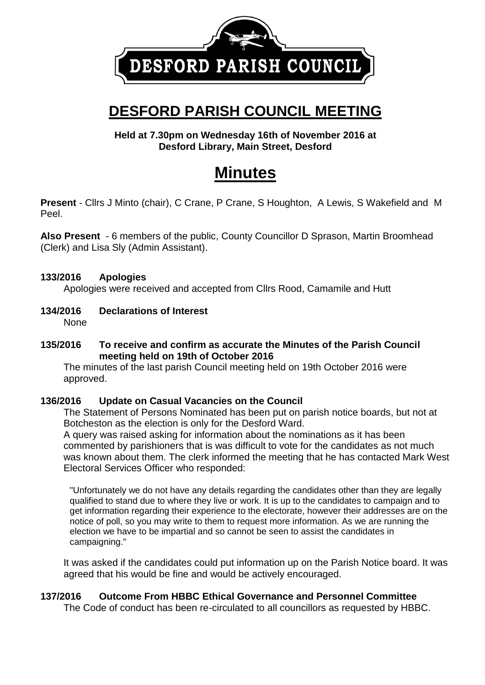

## **DESFORD PARISH COUNCIL MEETING**

**Held at 7.30pm on Wednesday 16th of November 2016 at Desford Library, Main Street, Desford** 

# **Minutes**

**Present** - Cllrs J Minto (chair), C Crane, P Crane, S Houghton, A Lewis, S Wakefield and M Peel.

**Also Present** - 6 members of the public, County Councillor D Sprason, Martin Broomhead (Clerk) and Lisa Sly (Admin Assistant).

#### **133/2016 Apologies**

Apologies were received and accepted from Cllrs Rood, Camamile and Hutt

**134/2016 Declarations of Interest** None

#### **135/2016 To receive and confirm as accurate the Minutes of the Parish Council meeting held on 19th of October 2016**

The minutes of the last parish Council meeting held on 19th October 2016 were approved.

## **136/2016 Update on Casual Vacancies on the Council**

The Statement of Persons Nominated has been put on parish notice boards, but not at Botcheston as the election is only for the Desford Ward.

A query was raised asking for information about the nominations as it has been commented by parishioners that is was difficult to vote for the candidates as not much was known about them. The clerk informed the meeting that he has contacted Mark West Electoral Services Officer who responded:

"Unfortunately we do not have any details regarding the candidates other than they are legally qualified to stand due to where they live or work. It is up to the candidates to campaign and to get information regarding their experience to the electorate, however their addresses are on the notice of poll, so you may write to them to request more information. As we are running the election we have to be impartial and so cannot be seen to assist the candidates in campaigning."

It was asked if the candidates could put information up on the Parish Notice board. It was agreed that his would be fine and would be actively encouraged.

## **137/2016 Outcome From HBBC Ethical Governance and Personnel Committee**

The Code of conduct has been re-circulated to all councillors as requested by HBBC.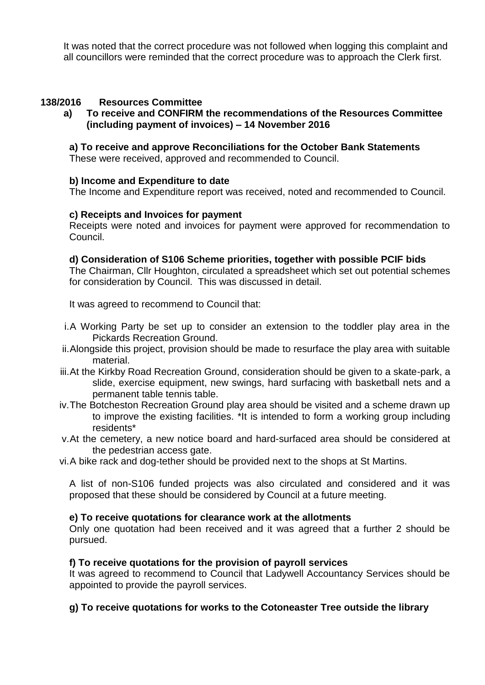It was noted that the correct procedure was not followed when logging this complaint and all councillors were reminded that the correct procedure was to approach the Clerk first.

#### **138/2016 Resources Committee**

**a) To receive and CONFIRM the recommendations of the Resources Committee (including payment of invoices) – 14 November 2016**

#### **a) To receive and approve Reconciliations for the October Bank Statements**

These were received, approved and recommended to Council.

#### **b) Income and Expenditure to date**

The Income and Expenditure report was received, noted and recommended to Council.

#### **c) Receipts and Invoices for payment**

Receipts were noted and invoices for payment were approved for recommendation to Council.

#### **d) Consideration of S106 Scheme priorities, together with possible PCIF bids**

The Chairman, Cllr Houghton, circulated a spreadsheet which set out potential schemes for consideration by Council. This was discussed in detail.

It was agreed to recommend to Council that:

- i.A Working Party be set up to consider an extension to the toddler play area in the Pickards Recreation Ground.
- ii.Alongside this project, provision should be made to resurface the play area with suitable material.
- iii.At the Kirkby Road Recreation Ground, consideration should be given to a skate-park, a slide, exercise equipment, new swings, hard surfacing with basketball nets and a permanent table tennis table.
- iv.The Botcheston Recreation Ground play area should be visited and a scheme drawn up to improve the existing facilities. \*It is intended to form a working group including residents\*
- v.At the cemetery, a new notice board and hard-surfaced area should be considered at the pedestrian access gate.
- vi.A bike rack and dog-tether should be provided next to the shops at St Martins.

A list of non-S106 funded projects was also circulated and considered and it was proposed that these should be considered by Council at a future meeting.

#### **e) To receive quotations for clearance work at the allotments**

Only one quotation had been received and it was agreed that a further 2 should be pursued.

#### **f) To receive quotations for the provision of payroll services**

It was agreed to recommend to Council that Ladywell Accountancy Services should be appointed to provide the payroll services.

## **g) To receive quotations for works to the Cotoneaster Tree outside the library**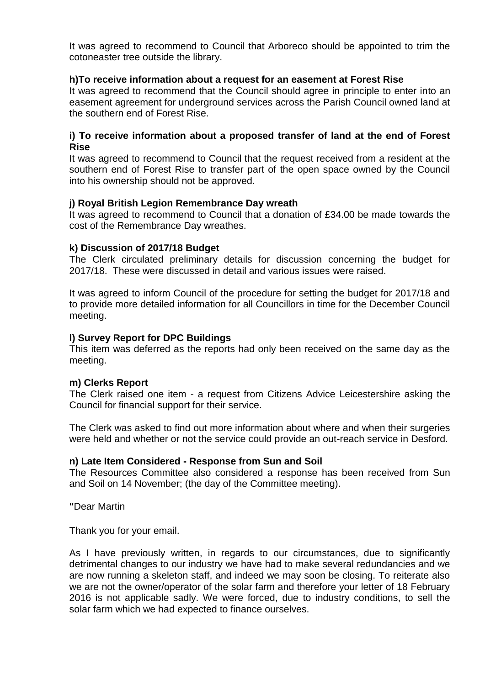It was agreed to recommend to Council that Arboreco should be appointed to trim the cotoneaster tree outside the library.

#### **h)To receive information about a request for an easement at Forest Rise**

It was agreed to recommend that the Council should agree in principle to enter into an easement agreement for underground services across the Parish Council owned land at the southern end of Forest Rise.

#### **i) To receive information about a proposed transfer of land at the end of Forest Rise**

It was agreed to recommend to Council that the request received from a resident at the southern end of Forest Rise to transfer part of the open space owned by the Council into his ownership should not be approved.

#### **j) Royal British Legion Remembrance Day wreath**

It was agreed to recommend to Council that a donation of £34.00 be made towards the cost of the Remembrance Day wreathes.

#### **k) Discussion of 2017/18 Budget**

The Clerk circulated preliminary details for discussion concerning the budget for 2017/18. These were discussed in detail and various issues were raised.

It was agreed to inform Council of the procedure for setting the budget for 2017/18 and to provide more detailed information for all Councillors in time for the December Council meeting.

#### **l) Survey Report for DPC Buildings**

This item was deferred as the reports had only been received on the same day as the meeting.

#### **m) Clerks Report**

The Clerk raised one item - a request from Citizens Advice Leicestershire asking the Council for financial support for their service.

The Clerk was asked to find out more information about where and when their surgeries were held and whether or not the service could provide an out-reach service in Desford.

#### **n) Late Item Considered - Response from Sun and Soil**

The Resources Committee also considered a response has been received from Sun and Soil on 14 November; (the day of the Committee meeting).

**"**Dear Martin

Thank you for your email.

As I have previously written, in regards to our circumstances, due to significantly detrimental changes to our industry we have had to make several redundancies and we are now running a skeleton staff, and indeed we may soon be closing. To reiterate also we are not the owner/operator of the solar farm and therefore your letter of 18 February 2016 is not applicable sadly. We were forced, due to industry conditions, to sell the solar farm which we had expected to finance ourselves.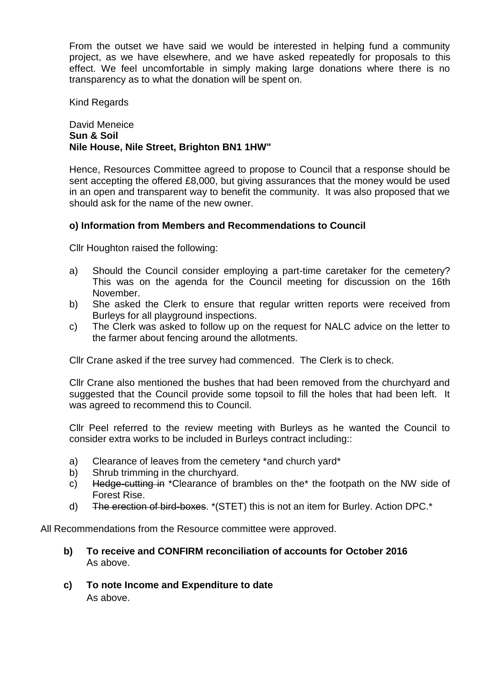From the outset we have said we would be interested in helping fund a community project, as we have elsewhere, and we have asked repeatedly for proposals to this effect. We feel uncomfortable in simply making large donations where there is no transparency as to what the donation will be spent on.

Kind Regards

#### David Meneice **Sun & Soil Nile House, Nile Street, Brighton BN1 1HW"**

Hence, Resources Committee agreed to propose to Council that a response should be sent accepting the offered £8,000, but giving assurances that the money would be used in an open and transparent way to benefit the community. It was also proposed that we should ask for the name of the new owner.

#### **o) Information from Members and Recommendations to Council**

Cllr Houghton raised the following:

- a) Should the Council consider employing a part-time caretaker for the cemetery? This was on the agenda for the Council meeting for discussion on the 16th November.
- b) She asked the Clerk to ensure that regular written reports were received from Burleys for all playground inspections.
- c) The Clerk was asked to follow up on the request for NALC advice on the letter to the farmer about fencing around the allotments.

Cllr Crane asked if the tree survey had commenced. The Clerk is to check.

Cllr Crane also mentioned the bushes that had been removed from the churchyard and suggested that the Council provide some topsoil to fill the holes that had been left. It was agreed to recommend this to Council.

Cllr Peel referred to the review meeting with Burleys as he wanted the Council to consider extra works to be included in Burleys contract including::

- a) Clearance of leaves from the cemetery \*and church yard\*
- b) Shrub trimming in the churchyard.
- c) Hedge-cutting in \*Clearance of brambles on the\* the footpath on the NW side of Forest Rise.
- d) The erection of bird-boxes. \*(STET) this is not an item for Burley. Action DPC.\*

All Recommendations from the Resource committee were approved.

- **b) To receive and CONFIRM reconciliation of accounts for October 2016** As above.
- **c) To note Income and Expenditure to date** As above.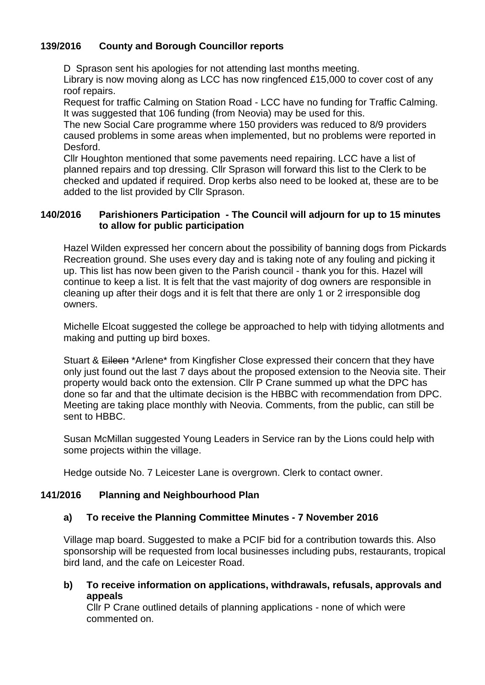## **139/2016 County and Borough Councillor reports**

D Sprason sent his apologies for not attending last months meeting. Library is now moving along as LCC has now ringfenced £15,000 to cover cost of any roof repairs.

Request for traffic Calming on Station Road - LCC have no funding for Traffic Calming. It was suggested that 106 funding (from Neovia) may be used for this.

The new Social Care programme where 150 providers was reduced to 8/9 providers caused problems in some areas when implemented, but no problems were reported in Desford.

Cllr Houghton mentioned that some pavements need repairing. LCC have a list of planned repairs and top dressing. Cllr Sprason will forward this list to the Clerk to be checked and updated if required. Drop kerbs also need to be looked at, these are to be added to the list provided by Cllr Sprason.

#### **140/2016 Parishioners Participation - The Council will adjourn for up to 15 minutes to allow for public participation**

Hazel Wilden expressed her concern about the possibility of banning dogs from Pickards Recreation ground. She uses every day and is taking note of any fouling and picking it up. This list has now been given to the Parish council - thank you for this. Hazel will continue to keep a list. It is felt that the vast majority of dog owners are responsible in cleaning up after their dogs and it is felt that there are only 1 or 2 irresponsible dog owners.

Michelle Elcoat suggested the college be approached to help with tidying allotments and making and putting up bird boxes.

Stuart & Eileen \*Arlene\* from Kingfisher Close expressed their concern that they have only just found out the last 7 days about the proposed extension to the Neovia site. Their property would back onto the extension. Cllr P Crane summed up what the DPC has done so far and that the ultimate decision is the HBBC with recommendation from DPC. Meeting are taking place monthly with Neovia. Comments, from the public, can still be sent to HBBC.

Susan McMillan suggested Young Leaders in Service ran by the Lions could help with some projects within the village.

Hedge outside No. 7 Leicester Lane is overgrown. Clerk to contact owner.

## **141/2016 Planning and Neighbourhood Plan**

## **a) To receive the Planning Committee Minutes - 7 November 2016**

Village map board. Suggested to make a PCIF bid for a contribution towards this. Also sponsorship will be requested from local businesses including pubs, restaurants, tropical bird land, and the cafe on Leicester Road.

**b) To receive information on applications, withdrawals, refusals, approvals and appeals**

Cllr P Crane outlined details of planning applications - none of which were commented on.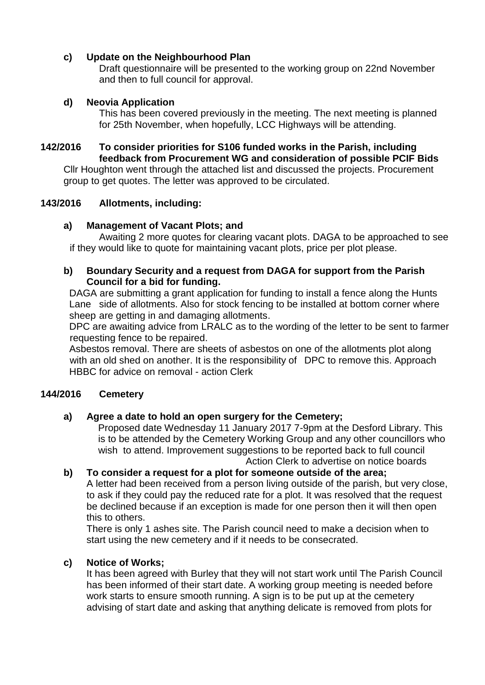## **c) Update on the Neighbourhood Plan**

Draft questionnaire will be presented to the working group on 22nd November and then to full council for approval.

## **d) Neovia Application**

This has been covered previously in the meeting. The next meeting is planned for 25th November, when hopefully, LCC Highways will be attending.

## **142/2016 To consider priorities for S106 funded works in the Parish, including feedback from Procurement WG and consideration of possible PCIF Bids**

Cllr Houghton went through the attached list and discussed the projects. Procurement group to get quotes. The letter was approved to be circulated.

## **143/2016 Allotments, including:**

## **a) Management of Vacant Plots; and**

Awaiting 2 more quotes for clearing vacant plots. DAGA to be approached to see if they would like to quote for maintaining vacant plots, price per plot please.

#### **b) Boundary Security and a request from DAGA for support from the Parish Council for a bid for funding.**

DAGA are submitting a grant application for funding to install a fence along the Hunts Lane side of allotments. Also for stock fencing to be installed at bottom corner where sheep are getting in and damaging allotments.

DPC are awaiting advice from LRALC as to the wording of the letter to be sent to farmer requesting fence to be repaired.

Asbestos removal. There are sheets of asbestos on one of the allotments plot along with an old shed on another. It is the responsibility of DPC to remove this. Approach HBBC for advice on removal - action Clerk

## **144/2016 Cemetery**

## **a) Agree a date to hold an open surgery for the Cemetery;**

Proposed date Wednesday 11 January 2017 7-9pm at the Desford Library. This is to be attended by the Cemetery Working Group and any other councillors who wish to attend. Improvement suggestions to be reported back to full council Action Clerk to advertise on notice boards

#### **b) To consider a request for a plot for someone outside of the area;**  A letter had been received from a person living outside of the parish, but very close, to ask if they could pay the reduced rate for a plot. It was resolved that the request be declined because if an exception is made for one person then it will then open this to others.

There is only 1 ashes site. The Parish council need to make a decision when to start using the new cemetery and if it needs to be consecrated.

## **c) Notice of Works;**

It has been agreed with Burley that they will not start work until The Parish Council has been informed of their start date. A working group meeting is needed before work starts to ensure smooth running. A sign is to be put up at the cemetery advising of start date and asking that anything delicate is removed from plots for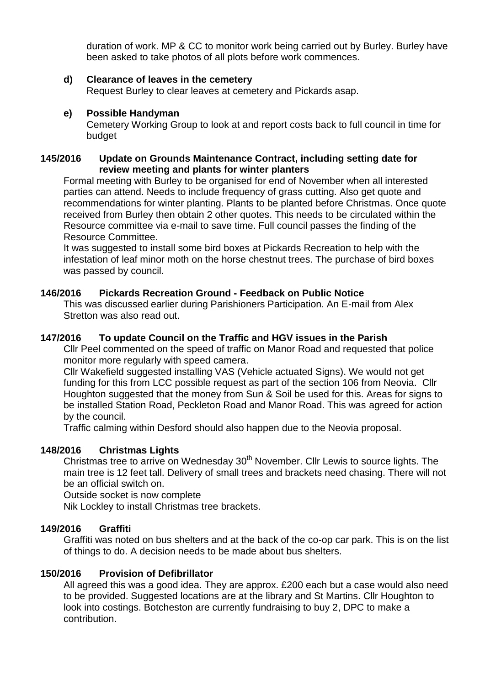duration of work. MP & CC to monitor work being carried out by Burley. Burley have been asked to take photos of all plots before work commences.

#### **d) Clearance of leaves in the cemetery**

Request Burley to clear leaves at cemetery and Pickards asap.

#### **e) Possible Handyman**

Cemetery Working Group to look at and report costs back to full council in time for budget

#### **145/2016 Update on Grounds Maintenance Contract, including setting date for review meeting and plants for winter planters**

Formal meeting with Burley to be organised for end of November when all interested parties can attend. Needs to include frequency of grass cutting. Also get quote and recommendations for winter planting. Plants to be planted before Christmas. Once quote received from Burley then obtain 2 other quotes. This needs to be circulated within the Resource committee via e-mail to save time. Full council passes the finding of the Resource Committee.

It was suggested to install some bird boxes at Pickards Recreation to help with the infestation of leaf minor moth on the horse chestnut trees. The purchase of bird boxes was passed by council.

## **146/2016 Pickards Recreation Ground - Feedback on Public Notice**

This was discussed earlier during Parishioners Participation. An E-mail from Alex Stretton was also read out.

## **147/2016 To update Council on the Traffic and HGV issues in the Parish**

Cllr Peel commented on the speed of traffic on Manor Road and requested that police monitor more regularly with speed camera.

Cllr Wakefield suggested installing VAS (Vehicle actuated Signs). We would not get funding for this from LCC possible request as part of the section 106 from Neovia. Cllr Houghton suggested that the money from Sun & Soil be used for this. Areas for signs to be installed Station Road, Peckleton Road and Manor Road. This was agreed for action by the council.

Traffic calming within Desford should also happen due to the Neovia proposal.

## **148/2016 Christmas Lights**

Christmas tree to arrive on Wednesday 30<sup>th</sup> November. Cllr Lewis to source lights. The main tree is 12 feet tall. Delivery of small trees and brackets need chasing. There will not be an official switch on.

Outside socket is now complete

Nik Lockley to install Christmas tree brackets.

## **149/2016 Graffiti**

Graffiti was noted on bus shelters and at the back of the co-op car park. This is on the list of things to do. A decision needs to be made about bus shelters.

## **150/2016 Provision of Defibrillator**

All agreed this was a good idea. They are approx. £200 each but a case would also need to be provided. Suggested locations are at the library and St Martins. Cllr Houghton to look into costings. Botcheston are currently fundraising to buy 2, DPC to make a contribution.